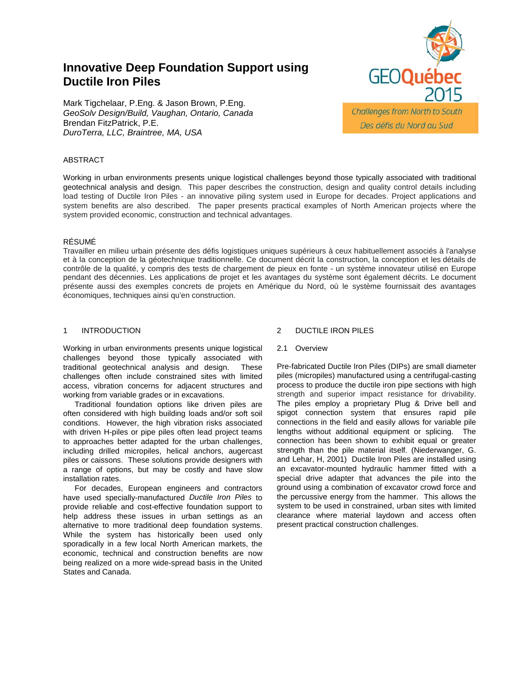# **Innovative Deep Foundation Support using Ductile Iron Piles**

Mark Tigchelaar, P.Eng. & Jason Brown, P.Eng. *GeoSolv Design/Build, Vaughan, Ontario, Canada* Brendan FitzPatrick, P.E. *DuroTerra, LLC, Braintree, MA, USA*



Working in urban environments presents unique logistical challenges beyond those typically associated with traditional geotechnical analysis and design. This paper describes the construction, design and quality control details including load testing of Ductile Iron Piles - an innovative piling system used in Europe for decades. Project applications and system benefits are also described. The paper presents practical examples of North American projects where the system provided economic, construction and technical advantages.

# RÉSUMÉ

Travailler en milieu urbain présente des défis logistiques uniques supérieurs à ceux habituellement associés à l'analyse et à la conception de la géotechnique traditionnelle. Ce document décrit la construction, la conception et les détails de contrôle de la qualité, y compris des tests de chargement de pieux en fonte - un système innovateur utilisé en Europe pendant des décennies. Les applications de projet et les avantages du système sont également décrits. Le document présente aussi des exemples concrets de projets en Amérique du Nord, où le système fournissait des avantages économiques, techniques ainsi qu'en construction.

# 1 INTRODUCTION

Working in urban environments presents unique logistical challenges beyond those typically associated with traditional geotechnical analysis and design. These challenges often include constrained sites with limited access, vibration concerns for adjacent structures and working from variable grades or in excavations.

Traditional foundation options like driven piles are often considered with high building loads and/or soft soil conditions. However, the high vibration risks associated with driven H-piles or pipe piles often lead project teams to approaches better adapted for the urban challenges, including drilled micropiles, helical anchors, augercast piles or caissons. These solutions provide designers with a range of options, but may be costly and have slow installation rates.

For decades, European engineers and contractors have used specially-manufactured *Ductile Iron Piles* to provide reliable and cost-effective foundation support to help address these issues in urban settings as an alternative to more traditional deep foundation systems. While the system has historically been used only sporadically in a few local North American markets, the economic, technical and construction benefits are now being realized on a more wide-spread basis in the United States and Canada.

# 2 DUCTILE IRON PILES

2.1 Overview

Pre-fabricated Ductile Iron Piles (DIPs) are small diameter piles (micropiles) manufactured using a centrifugal-casting process to produce the ductile iron pipe sections with high strength and superior impact resistance for drivability. The piles employ a proprietary Plug & Drive bell and spigot connection system that ensures rapid pile connections in the field and easily allows for variable pile lengths without additional equipment or splicing. The connection has been shown to exhibit equal or greater strength than the pile material itself. (Niederwanger, G. and Lehar, H, 2001) Ductile Iron Piles are installed using an excavator-mounted hydraulic hammer fitted with a special drive adapter that advances the pile into the ground using a combination of excavator crowd force and the percussive energy from the hammer. This allows the system to be used in constrained, urban sites with limited clearance where material laydown and access often present practical construction challenges.

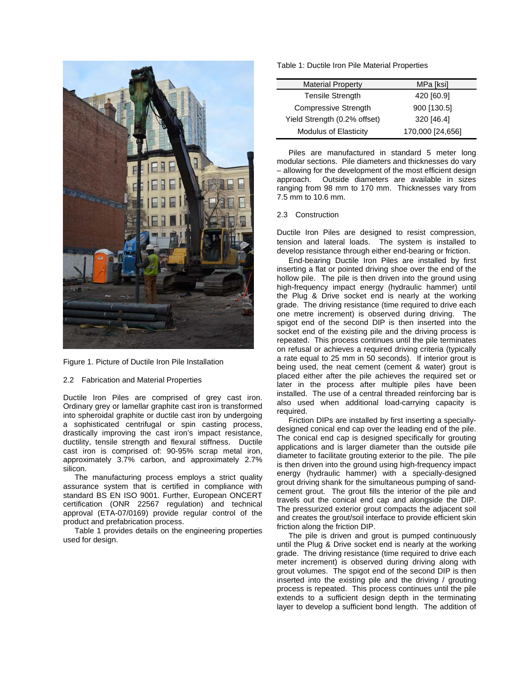

Figure 1. Picture of Ductile Iron Pile Installation

## 2.2 Fabrication and Material Properties

Ductile Iron Piles are comprised of grey cast iron. Ordinary grey or lamellar graphite cast iron is transformed into spheroidal graphite or ductile cast iron by undergoing a sophisticated centrifugal or spin casting process, drastically improving the cast iron's impact resistance, ductility, tensile strength and flexural stiffness. Ductile cast iron is comprised of: 90-95% scrap metal iron, approximately 3.7% carbon, and approximately 2.7% silicon.

The manufacturing process employs a strict quality assurance system that is certified in compliance with standard BS EN ISO 9001. Further, European ONCERT certification (ONR 22567 regulation) and technical approval (ETA-07/0169) provide regular control of the product and prefabrication process.

Table 1 provides details on the engineering properties used for design.

## Table 1: Ductile Iron Pile Material Properties

| <b>Material Property</b>     | MPa [ksi]        |
|------------------------------|------------------|
| <b>Tensile Strength</b>      | 420 [60.9]       |
| <b>Compressive Strength</b>  | 900 [130.5]      |
| Yield Strength (0.2% offset) | 320 [46.4]       |
| <b>Modulus of Elasticity</b> | 170,000 [24,656] |

Piles are manufactured in standard 5 meter long modular sections. Pile diameters and thicknesses do vary – allowing for the development of the most efficient design approach. Outside diameters are available in sizes ranging from 98 mm to 170 mm. Thicknesses vary from 7.5 mm to 10.6 mm.

## 2.3 Construction

Ductile Iron Piles are designed to resist compression, tension and lateral loads. The system is installed to develop resistance through either end-bearing or friction.

End-bearing Ductile Iron Piles are installed by first inserting a flat or pointed driving shoe over the end of the hollow pile. The pile is then driven into the ground using high-frequency impact energy (hydraulic hammer) until the Plug & Drive socket end is nearly at the working grade. The driving resistance (time required to drive each one metre increment) is observed during driving. The spigot end of the second DIP is then inserted into the socket end of the existing pile and the driving process is repeated. This process continues until the pile terminates on refusal or achieves a required driving criteria (typically a rate equal to 25 mm in 50 seconds). If interior grout is being used, the neat cement (cement & water) grout is placed either after the pile achieves the required set or later in the process after multiple piles have been installed. The use of a central threaded reinforcing bar is also used when additional load-carrying capacity is required.

Friction DIPs are installed by first inserting a speciallydesigned conical end cap over the leading end of the pile. The conical end cap is designed specifically for grouting applications and is larger diameter than the outside pile diameter to facilitate grouting exterior to the pile. The pile is then driven into the ground using high-frequency impact energy (hydraulic hammer) with a specially-designed grout driving shank for the simultaneous pumping of sandcement grout. The grout fills the interior of the pile and travels out the conical end cap and alongside the DIP. The pressurized exterior grout compacts the adjacent soil and creates the grout/soil interface to provide efficient skin friction along the friction DIP.

The pile is driven and grout is pumped continuously until the Plug & Drive socket end is nearly at the working grade. The driving resistance (time required to drive each meter increment) is observed during driving along with grout volumes. The spigot end of the second DIP is then inserted into the existing pile and the driving / grouting process is repeated. This process continues until the pile extends to a sufficient design depth in the terminating layer to develop a sufficient bond length. The addition of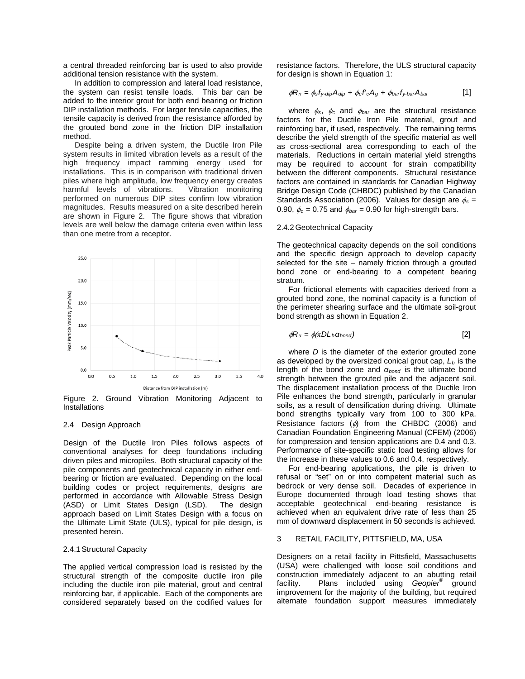a central threaded reinforcing bar is used to also provide additional tension resistance with the system.

In addition to compression and lateral load resistance, the system can resist tensile loads. This bar can be added to the interior grout for both end bearing or friction DIP installation methods. For larger tensile capacities, the tensile capacity is derived from the resistance afforded by the grouted bond zone in the friction DIP installation method.

Despite being a driven system, the Ductile Iron Pile system results in limited vibration levels as a result of the high frequency impact ramming energy used for installations. This is in comparison with traditional driven piles where high amplitude, low frequency energy creates harmful levels of vibrations. Vibration monitoring performed on numerous DIP sites confirm low vibration magnitudes. Results measured on a site described herein are shown in Figure 2. The figure shows that vibration levels are well below the damage criteria even within less than one metre from a receptor.



Figure 2. Ground Vibration Monitoring Adjacent to Installations

#### 2.4 Design Approach

Design of the Ductile Iron Piles follows aspects of conventional analyses for deep foundations including driven piles and micropiles. Both structural capacity of the pile components and geotechnical capacity in either endbearing or friction are evaluated. Depending on the local building codes or project requirements, designs are performed in accordance with Allowable Stress Design (ASD) or Limit States Design (LSD). The design approach based on Limit States Design with a focus on the Ultimate Limit State (ULS), typical for pile design, is presented herein.

#### 2.4.1Structural Capacity

The applied vertical compression load is resisted by the structural strength of the composite ductile iron pile including the ductile iron pile material, grout and central reinforcing bar, if applicable. Each of the components are considered separately based on the codified values for

resistance factors. Therefore, the ULS structural capacity for design is shown in Equation 1:

$$
\phi R_n = \phi_s f_{y\text{-dip}} A_{\text{dip}} + \phi_c f'_c A_g + \phi_{\text{bar}} f_{y\text{-bar}} A_{\text{bar}} \tag{1}
$$

where φ*s*, φ*<sup>c</sup>* and φ*bar* are the structural resistance factors for the Ductile Iron Pile material, grout and reinforcing bar, if used, respectively. The remaining terms describe the yield strength of the specific material as well as cross-sectional area corresponding to each of the materials. Reductions in certain material yield strengths may be required to account for strain compatibility between the different components. Structural resistance factors are contained in standards for Canadian Highway Bridge Design Code (CHBDC) published by the Canadian Standards Association (2006). Values for design are φ*<sup>s</sup>* = 0.90,  $\phi_c = 0.75$  and  $\phi_{bar} = 0.90$  for high-strength bars.

## 2.4.2 Geotechnical Capacity

The geotechnical capacity depends on the soil conditions and the specific design approach to develop capacity selected for the site – namely friction through a grouted bond zone or end-bearing to a competent bearing stratum.

For frictional elements with capacities derived from a grouted bond zone, the nominal capacity is a function of the perimeter shearing surface and the ultimate soil-grout bond strength as shown in Equation 2.

$$
\phi R_u = \phi(\pi DL_b \alpha_{bond})
$$
 [2]

where *D* is the diameter of the exterior grouted zone as developed by the oversized conical grout cap,  $L_b$  is the length of the bond zone and *αbond* is the ultimate bond strength between the grouted pile and the adjacent soil. The displacement installation process of the Ductile Iron Pile enhances the bond strength, particularly in granular soils, as a result of densification during driving. Ultimate bond strengths typically vary from 100 to 300 kPa. Resistance factors  $(\phi)$  from the CHBDC (2006) and Canadian Foundation Engineering Manual (CFEM) (2006) for compression and tension applications are 0.4 and 0.3. Performance of site-specific static load testing allows for the increase in these values to 0.6 and 0.4, respectively.

For end-bearing applications, the pile is driven to refusal or "set" on or into competent material such as bedrock or very dense soil. Decades of experience in Europe documented through load testing shows that acceptable geotechnical end-bearing resistance is achieved when an equivalent drive rate of less than 25 mm of downward displacement in 50 seconds is achieved.

#### 3 RETAIL FACILITY, PITTSFIELD, MA, USA

Designers on a retail facility in Pittsfield, Massachusetts (USA) were challenged with loose soil conditions and construction immediately adjacent to an abutting retail<br>facility. Plans included using Geopier® ground Plans included using *Geopier*<sup>®</sup> ground improvement for the majority of the building, but required alternate foundation support measures immediately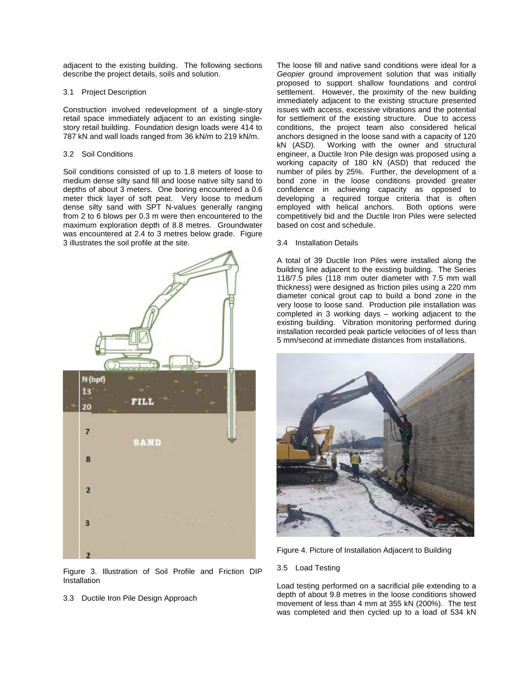adjacent to the existing building. The following sections describe the project details, soils and solution.

## 3.1 Project Description

Construction involved redevelopment of a single-story retail space immediately adjacent to an existing singlestory retail building. Foundation design loads were 414 to 787 kN and wall loads ranged from 36 kN/m to 219 kN/m.

## 3.2 Soil Conditions

Soil conditions consisted of up to 1.8 meters of loose to medium dense silty sand fill and loose native silty sand to depths of about 3 meters. One boring encountered a 0.6 meter thick layer of soft peat. Very loose to medium dense silty sand with SPT N-values generally ranging from 2 to 6 blows per 0.3 m were then encountered to the maximum exploration depth of 8.8 metres. Groundwater was encountered at 2.4 to 3 metres below grade. Figure 3 illustrates the soil profile at the site.



Figure 3. Illustration of Soil Profile and Friction DIP **Installation** 

3.3 Ductile Iron Pile Design Approach

The loose fill and native sand conditions were ideal for a *Geopier* ground improvement solution that was initially proposed to support shallow foundations and control settlement. However, the proximity of the new building immediately adjacent to the existing structure presented issues with access, excessive vibrations and the potential for settlement of the existing structure. Due to access conditions, the project team also considered helical anchors designed in the loose sand with a capacity of 120 Working with the owner and structural engineer, a Ductile Iron Pile design was proposed using a working capacity of 180 kN (ASD) that reduced the number of piles by 25%. Further, the development of a bond zone in the loose conditions provided greater confidence in achieving capacity as opposed to developing a required torque criteria that is often employed with helical anchors. Both options were competitively bid and the Ductile Iron Piles were selected based on cost and schedule.

# 3.4 Installation Details

A total of 39 Ductile Iron Piles were installed along the building line adjacent to the existing building. The Series 118/7.5 piles (118 mm outer diameter with 7.5 mm wall thickness) were designed as friction piles using a 220 mm diameter conical grout cap to build a bond zone in the very loose to loose sand. Production pile installation was completed in 3 working days – working adjacent to the existing building. Vibration monitoring performed during installation recorded peak particle velocities of of less than 5 mm/second at immediate distances from installations.



Figure 4. Picture of Installation Adjacent to Building

# 3.5 Load Testing

Load testing performed on a sacrificial pile extending to a depth of about 9.8 metres in the loose conditions showed movement of less than 4 mm at 355 kN (200%). The test was completed and then cycled up to a load of 534 kN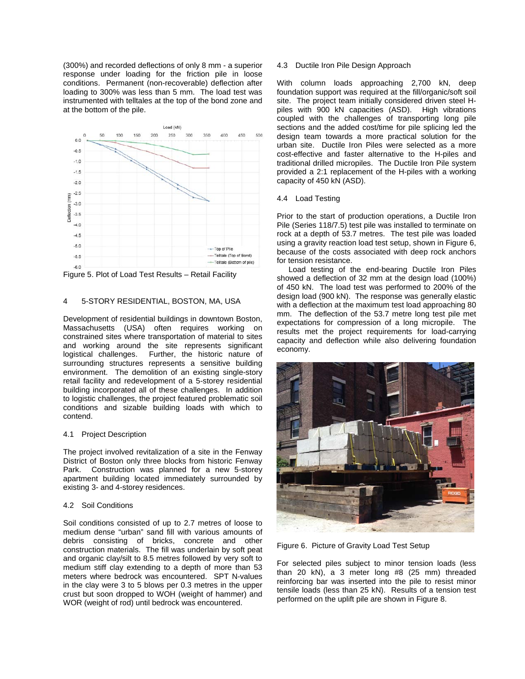(300%) and recorded deflections of only 8 mm - a superior response under loading for the friction pile in loose conditions. Permanent (non-recoverable) deflection after loading to 300% was less than 5 mm. The load test was instrumented with telltales at the top of the bond zone and at the bottom of the pile.



Figure 5. Plot of Load Test Results – Retail Facility

## 4 5-STORY RESIDENTIAL, BOSTON, MA, USA

Development of residential buildings in downtown Boston, Massachusetts (USA) often requires working on constrained sites where transportation of material to sites and working around the site represents significant logistical challenges. Further, the historic nature of surrounding structures represents a sensitive building environment. The demolition of an existing single-story retail facility and redevelopment of a 5-storey residential building incorporated all of these challenges. In addition to logistic challenges, the project featured problematic soil conditions and sizable building loads with which to contend.

## 4.1 Project Description

The project involved revitalization of a site in the Fenway District of Boston only three blocks from historic Fenway Park. Construction was planned for a new 5-storey apartment building located immediately surrounded by existing 3- and 4-storey residences.

## 4.2 Soil Conditions

Soil conditions consisted of up to 2.7 metres of loose to medium dense "urban" sand fill with various amounts of debris consisting of bricks, concrete and other construction materials. The fill was underlain by soft peat and organic clay/silt to 8.5 metres followed by very soft to medium stiff clay extending to a depth of more than 53 meters where bedrock was encountered. SPT N-values in the clay were 3 to 5 blows per 0.3 metres in the upper crust but soon dropped to WOH (weight of hammer) and WOR (weight of rod) until bedrock was encountered.

## 4.3 Ductile Iron Pile Design Approach

With column loads approaching 2,700 kN, deep foundation support was required at the fill/organic/soft soil site. The project team initially considered driven steel Hpiles with 900 kN capacities (ASD). High vibrations coupled with the challenges of transporting long pile sections and the added cost/time for pile splicing led the design team towards a more practical solution for the urban site. Ductile Iron Piles were selected as a more cost-effective and faster alternative to the H-piles and traditional drilled micropiles. The Ductile Iron Pile system provided a 2:1 replacement of the H-piles with a working capacity of 450 kN (ASD).

## 4.4 Load Testing

Prior to the start of production operations, a Ductile Iron Pile (Series 118/7.5) test pile was installed to terminate on rock at a depth of 53.7 metres. The test pile was loaded using a gravity reaction load test setup, shown in Figure 6, because of the costs associated with deep rock anchors for tension resistance.

Load testing of the end-bearing Ductile Iron Piles showed a deflection of 32 mm at the design load (100%) of 450 kN. The load test was performed to 200% of the design load (900 kN). The response was generally elastic with a deflection at the maximum test load approaching 80 mm. The deflection of the 53.7 metre long test pile met expectations for compression of a long micropile. The results met the project requirements for load-carrying capacity and deflection while also delivering foundation economy.



Figure 6. Picture of Gravity Load Test Setup

For selected piles subject to minor tension loads (less than 20 kN), a 3 meter long #8 (25 mm) threaded reinforcing bar was inserted into the pile to resist minor tensile loads (less than 25 kN). Results of a tension test performed on the uplift pile are shown in Figure 8.